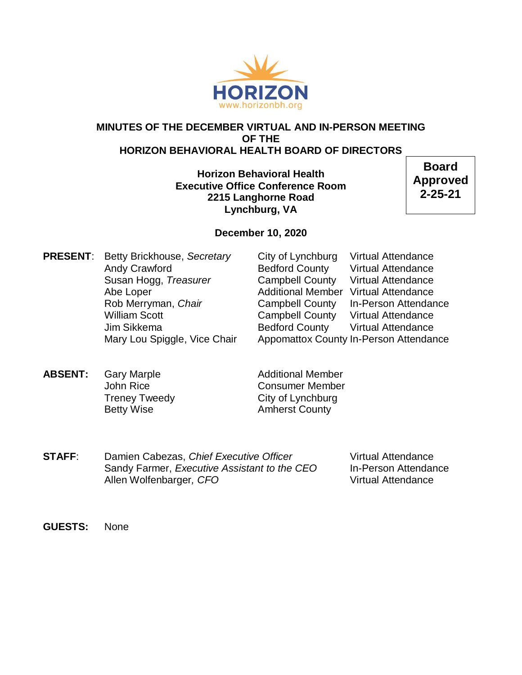

## **MINUTES OF THE DECEMBER VIRTUAL AND IN-PERSON MEETING OF THE HORIZON BEHAVIORAL HEALTH BOARD OF DIRECTORS**

**Horizon Behavioral Health Executive Office Conference Room 2215 Langhorne Road Lynchburg, VA**

**Board Approved 2-25-21**

## **December 10, 2020**

**PRESENT:** Betty Brickhouse, *Secretary* City of Lynchburg Virtual Attendance

Andy Crawford **Bedford County** Virtual Attendance Susan Hogg, *Treasurer* Campbell County Virtual Attendance Abe Loper **Additional Member** Virtual Attendance Rob Merryman, *Chair* **Campbell County** In-Person Attendance William Scott **Campbell County** Virtual Attendance Jim Sikkema Bedford County Virtual Attendance Mary Lou Spiggle, Vice Chair Appomattox County In-Person Attendance

**ABSENT:** Gary Marple **Additional Member** Betty Wise **Amherst County** 

John Rice Consumer Member Treney Tweedy **City of Lynchburg** 

**STAFF:** Damien Cabezas, *Chief Executive Officer* Virtual Attendance Sandy Farmer, *Executive Assistant to the CEO* In-Person Attendance Allen Wolfenbarger, CFO **Virtual Attendance** 

**GUESTS:** None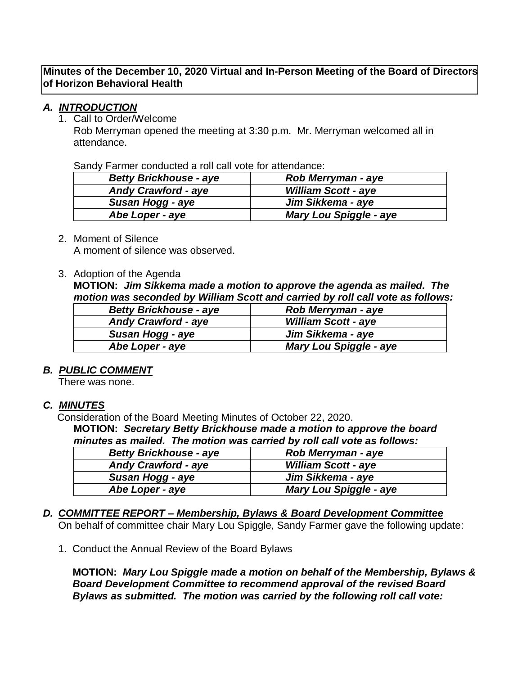**Minutes of the December 10, 2020 Virtual and In-Person Meeting of the Board of Directors of Horizon Behavioral Health**

## *A. INTRODUCTION*

#### 1. Call to Order/Welcome

Rob Merryman opened the meeting at 3:30 p.m. Mr. Merryman welcomed all in attendance.

Sandy Farmer conducted a roll call vote for attendance:

| <b>Betty Brickhouse - aye</b> | Rob Merryman - aye            |
|-------------------------------|-------------------------------|
| <b>Andy Crawford - aye</b>    | <b>William Scott - aye</b>    |
| Susan Hogg - aye              | Jim Sikkema - aye             |
| Abe Loper - aye               | <b>Mary Lou Spiggle - aye</b> |

2. Moment of Silence A moment of silence was observed.

3. Adoption of the Agenda

**MOTION:** *Jim Sikkema made a motion to approve the agenda as mailed. The motion was seconded by William Scott and carried by roll call vote as follows:*

| <b>Betty Brickhouse - aye</b> | Rob Merryman - aye            |
|-------------------------------|-------------------------------|
| <b>Andy Crawford - aye</b>    | <b>William Scott - aye</b>    |
| Susan Hogg - aye              | Jim Sikkema - aye             |
| Abe Loper - aye               | <b>Mary Lou Spiggle - aye</b> |

## *B. PUBLIC COMMENT*

There was none.

## *C. MINUTES*

Consideration of the Board Meeting Minutes of October 22, 2020.

**MOTION:** *Secretary Betty Brickhouse made a motion to approve the board minutes as mailed. The motion was carried by roll call vote as follows:*

| <b>Betty Brickhouse - aye</b> | Rob Merryman - aye            |
|-------------------------------|-------------------------------|
| <b>Andy Crawford - aye</b>    | <b>William Scott - aye</b>    |
| Susan Hogg - aye              | Jim Sikkema - aye             |
| Abe Loper - aye               | <b>Mary Lou Spiggle - aye</b> |

#### *D. COMMITTEE REPORT – Membership, Bylaws & Board Development Committee* On behalf of committee chair Mary Lou Spiggle, Sandy Farmer gave the following update:

1. Conduct the Annual Review of the Board Bylaws

**MOTION:** *Mary Lou Spiggle made a motion on behalf of the Membership, Bylaws & Board Development Committee to recommend approval of the revised Board Bylaws as submitted. The motion was carried by the following roll call vote:*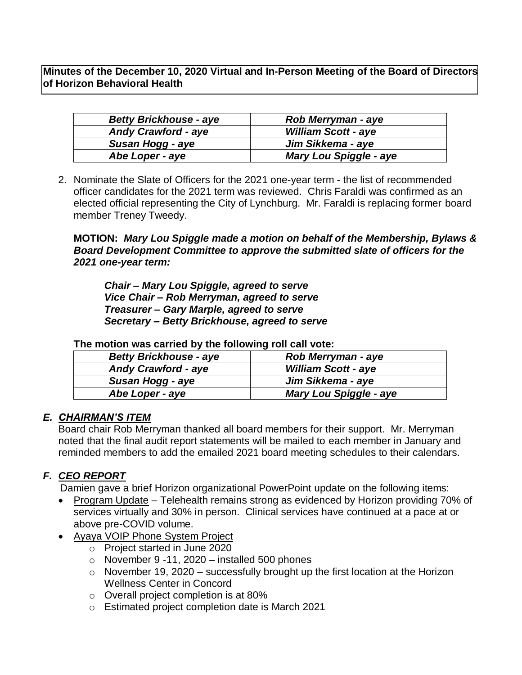**Minutes of the December 10, 2020 Virtual and In-Person Meeting of the Board of Directors of Horizon Behavioral Health**

| <b>Betty Brickhouse - aye</b> | <b>Rob Merryman - aye</b>     |
|-------------------------------|-------------------------------|
| <b>Andy Crawford - aye</b>    | <b>William Scott - aye</b>    |
| Susan Hogg - aye              | Jim Sikkema - aye             |
| Abe Loper - aye               | <b>Mary Lou Spiggle - aye</b> |

2. Nominate the Slate of Officers for the 2021 one-year term - the list of recommended officer candidates for the 2021 term was reviewed. Chris Faraldi was confirmed as an elected official representing the City of Lynchburg. Mr. Faraldi is replacing former board member Treney Tweedy.

**MOTION:** *Mary Lou Spiggle made a motion on behalf of the Membership, Bylaws & Board Development Committee to approve the submitted slate of officers for the 2021 one-year term:*

*Chair – Mary Lou Spiggle, agreed to serve Vice Chair – Rob Merryman, agreed to serve Treasurer – Gary Marple, agreed to serve Secretary – Betty Brickhouse, agreed to serve*

| <b>Betty Brickhouse - aye</b> | Rob Merryman - aye            |  |
|-------------------------------|-------------------------------|--|
| <b>Andy Crawford - aye</b>    | <b>William Scott - aye</b>    |  |
| Susan Hogg - aye              | Jim Sikkema - aye             |  |
| Abe Loper - aye               | <b>Mary Lou Spiggle - aye</b> |  |
|                               |                               |  |

## **The motion was carried by the following roll call vote:**

## *E. CHAIRMAN'S ITEM*

Board chair Rob Merryman thanked all board members for their support. Mr. Merryman noted that the final audit report statements will be mailed to each member in January and reminded members to add the emailed 2021 board meeting schedules to their calendars.

# *F. CEO REPORT*

Damien gave a brief Horizon organizational PowerPoint update on the following items:

- Program Update Telehealth remains strong as evidenced by Horizon providing 70% of services virtually and 30% in person. Clinical services have continued at a pace at or above pre-COVID volume.
- Ayaya VOIP Phone System Project
	- o Project started in June 2020
	- $\circ$  November 9 -11, 2020 installed 500 phones
	- $\circ$  November 19, 2020 successfully brought up the first location at the Horizon Wellness Center in Concord
	- o Overall project completion is at 80%
	- o Estimated project completion date is March 2021